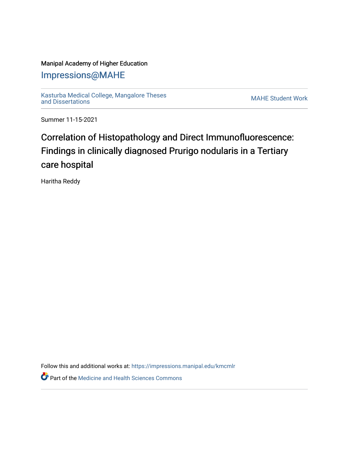### Manipal Academy of Higher Education

### [Impressions@MAHE](https://impressions.manipal.edu/)

[Kasturba Medical College, Mangalore Theses](https://impressions.manipal.edu/kmcmlr) [and Dissertations](https://impressions.manipal.edu/kmcmlr) [MAHE Student Work](https://impressions.manipal.edu/student-work) 

Summer 11-15-2021

# Correlation of Histopathology and Direct Immunofluorescence: Findings in clinically diagnosed Prurigo nodularis in a Tertiary care hospital

Haritha Reddy

Follow this and additional works at: [https://impressions.manipal.edu/kmcmlr](https://impressions.manipal.edu/kmcmlr?utm_source=impressions.manipal.edu%2Fkmcmlr%2F245&utm_medium=PDF&utm_campaign=PDFCoverPages) 

**Part of the Medicine and Health Sciences Commons**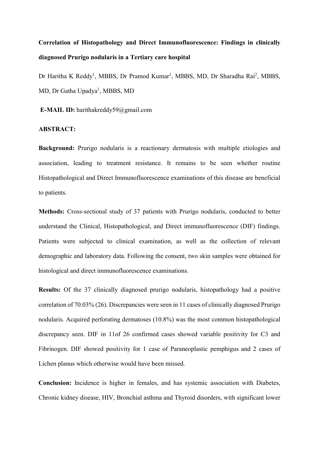## Correlation of Histopathology and Direct Immunofluorescence: Findings in clinically diagnosed Prurigo nodularis in a Tertiary care hospital

Dr Haritha K Reddy<sup>1</sup>, MBBS, Dr Pramod Kumar<sup>1</sup>, MBBS, MD, Dr Sharadha Rai<sup>2</sup>, MBBS, MD, Dr Gatha Upadya<sup>1</sup>, MBBS, MD

E-MAIL ID: harithakreddy59@gmail.com

#### ABSTRACT:

Background: Prurigo nodularis is a reactionary dermatosis with multiple etiologies and association, leading to treatment resistance. It remains to be seen whether routine Histopathological and Direct Immunofluorescence examinations of this disease are beneficial to patients.

Methods: Cross-sectional study of 37 patients with Prurigo nodularis, conducted to better understand the Clinical, Histopathological, and Direct immunofluorescence (DIF) findings. Patients were subjected to clinical examination, as well as the collection of relevant demographic and laboratory data. Following the consent, two skin samples were obtained for histological and direct immunofluorescence examinations.

Results: Of the 37 clinically diagnosed prurigo nodularis, histopathology had a positive correlation of 70.03% (26). Discrepancies were seen in 11 cases of clinically diagnosed Prurigo nodularis. Acquired perforating dermatoses (10.8%) was the most common histopathological discrepancy seen. DIF in 11of 26 confirmed cases showed variable positivity for C3 and Fibrinogen. DIF showed positivity for 1 case of Paraneoplastic pemphigus and 2 cases of Lichen planus which otherwise would have been missed.

Conclusion: Incidence is higher in females, and has systemic association with Diabetes, Chronic kidney disease, HIV, Bronchial asthma and Thyroid disorders, with significant lower